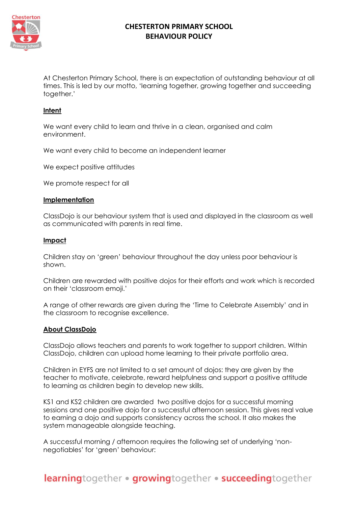

At Chesterton Primary School, there is an expectation of outstanding behaviour at all times. This is led by our motto, 'learning together, growing together and succeeding together.'

### **Intent**

We want every child to learn and thrive in a clean, organised and calm environment.

We want every child to become an independent learner

We expect positive attitudes

We promote respect for all

#### **Implementation**

ClassDojo is our behaviour system that is used and displayed in the classroom as well as communicated with parents in real time.

#### **Impact**

Children stay on 'green' behaviour throughout the day unless poor behaviour is shown.

Children are rewarded with positive dojos for their efforts and work which is recorded on their 'classroom emoji.'

A range of other rewards are given during the 'Time to Celebrate Assembly' and in the classroom to recognise excellence.

#### **About ClassDojo**

ClassDojo allows teachers and parents to work together to support children. Within ClassDojo, children can upload home learning to their private portfolio area.

Children in EYFS are not limited to a set amount of dojos: they are given by the teacher to motivate, celebrate, reward helpfulness and support a positive attitude to learning as children begin to develop new skills.

KS1 and KS2 children are awarded two positive dojos for a successful morning sessions and one positive dojo for a successful afternoon session. This gives real value to earning a dojo and supports consistency across the school. It also makes the system manageable alongside teaching.

A successful morning / afternoon requires the following set of underlying 'nonnegotiables' for 'green' behaviour: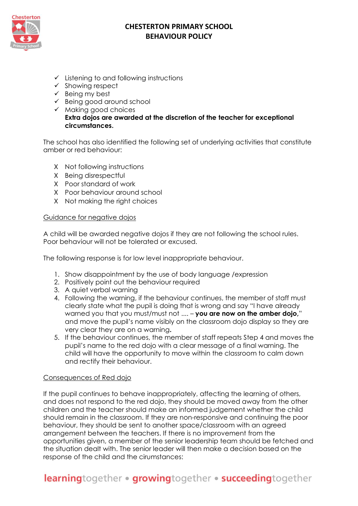

- ✓ Listening to and following instructions
- ✓ Showing respect
- $\checkmark$  Being my best
- ✓ Being good around school
- ✓ Making good choices **Extra dojos are awarded at the discretion of the teacher for exceptional circumstances.**

The school has also identified the following set of underlying activities that constitute amber or red behaviour:

- X Not following instructions
- X Being disrespectful
- X Poor standard of work
- X Poor behaviour around school
- X Not making the right choices

### Guidance for negative dojos

A child will be awarded negative dojos if they are not following the school rules. Poor behaviour will not be tolerated or excused.

The following response is for low level inappropriate behaviour.

- 1. Show disappointment by the use of body language /expression
- 2. Positively point out the behaviour required
- 3. A quiet verbal warning
- 4. Following the warning, if the behaviour continues, the member of staff must clearly state what the pupil is doing that is wrong and say "I have already warned you that you must/must not .... – **you are now on the amber dojo,**" and move the pupil's name visibly on the classroom dojo display so they are very clear they are on a warning**.**
- 5. If the behaviour continues, the member of staff repeats Step 4 and moves the pupil's name to the red dojo with a clear message of a final warning. The child will have the opportunity to move within the classroom to calm down and rectify their behaviour.

### Consequences of Red dojo

If the pupil continues to behave inappropriately, affecting the learning of others, and does not respond to the red dojo, they should be moved away from the other children and the teacher should make an informed judgement whether the child should remain in the classroom. If they are non-responsive and continuing the poor behaviour, they should be sent to another space/classroom with an agreed arrangement between the teachers. If there is no improvement from the opportunities given, a member of the senior leadership team should be fetched and the situation dealt with. The senior leader will then make a decision based on the response of the child and the cirumstances:

# learningtogether · growingtogether · succeedingtogether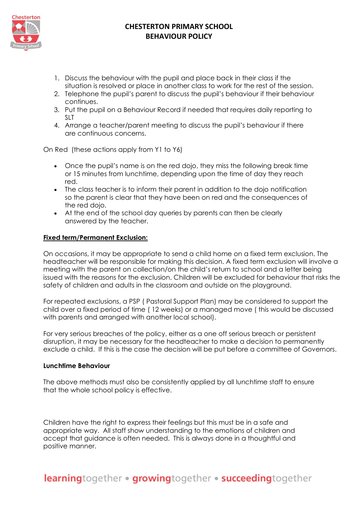

- 1. Discuss the behaviour with the pupil and place back in their class if the situation is resolved or place in another class to work for the rest of the session.
- 2. Telephone the pupil's parent to discuss the pupil's behaviour if their behaviour continues.
- 3. Put the pupil on a Behaviour Record if needed that requires daily reporting to SLT.
- 4. Arrange a teacher/parent meeting to discuss the pupil's behaviour if there are continuous concerns.

On Red (these actions apply from Y1 to Y6)

- Once the pupil's name is on the red dojo, they miss the following break time or 15 minutes from lunchtime, depending upon the time of day they reach red.
- The class teacher is to inform their parent in addition to the dojo notification so the parent is clear that they have been on red and the consequences of the red dojo.
- At the end of the school day queries by parents can then be clearly answered by the teacher.

### **Fixed term/Permanent Exclusion:**

On occasions, it may be appropriate to send a child home on a fixed term exclusion. The headteacher will be responsible for making this decision. A fixed term exclusion will involve a meeting with the parent on collection/on the child's return to school and a letter being issued with the reasons for the exclusion. Children will be excluded for behaviour that risks the safety of children and adults in the classroom and outside on the playground.

For repeated exclusions, a PSP ( Pastoral Support Plan) may be considered to support the child over a fixed period of time ( 12 weeks) or a managed move ( this would be discussed with parents and arranged with another local school).

For very serious breaches of the policy, either as a one off serious breach or persistent disruption, it may be necessary for the headteacher to make a decision to permanently exclude a child. If this is the case the decision will be put before a committee of Governors.

#### **Lunchtime Behaviour**

The above methods must also be consistently applied by all lunchtime staff to ensure that the whole school policy is effective.

Children have the right to express their feelings but this must be in a safe and appropriate way. All staff show understanding to the emotions of children and accept that guidance is often needed. This is always done in a thoughtful and positive manner.

# learningtogether · growingtogether · succeedingtogether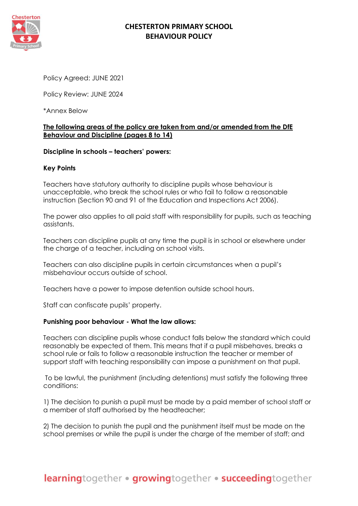

Policy Agreed: JUNE 2021

Policy Review: JUNE 2024

\*Annex Below

### **The following areas of the policy are taken from and/or amended from the DfE Behaviour and Discipline (pages 8 to 14)**

### **Discipline in schools – teachers' powers:**

### **Key Points**

Teachers have statutory authority to discipline pupils whose behaviour is unacceptable, who break the school rules or who fail to follow a reasonable instruction (Section 90 and 91 of the Education and Inspections Act 2006).

The power also applies to all paid staff with responsibility for pupils, such as teaching assistants.

Teachers can discipline pupils at any time the pupil is in school or elsewhere under the charge of a teacher, including on school visits.

Teachers can also discipline pupils in certain circumstances when a pupil's misbehaviour occurs outside of school.

Teachers have a power to impose detention outside school hours.

Staff can confiscate pupils' property.

#### **Punishing poor behaviour - What the law allows:**

Teachers can discipline pupils whose conduct falls below the standard which could reasonably be expected of them. This means that if a pupil misbehaves, breaks a school rule or fails to follow a reasonable instruction the teacher or member of support staff with teaching responsibility can impose a punishment on that pupil.

To be lawful, the punishment (including detentions) must satisfy the following three conditions:

1) The decision to punish a pupil must be made by a paid member of school staff or a member of staff authorised by the headteacher;

2) The decision to punish the pupil and the punishment itself must be made on the school premises or while the pupil is under the charge of the member of staff; and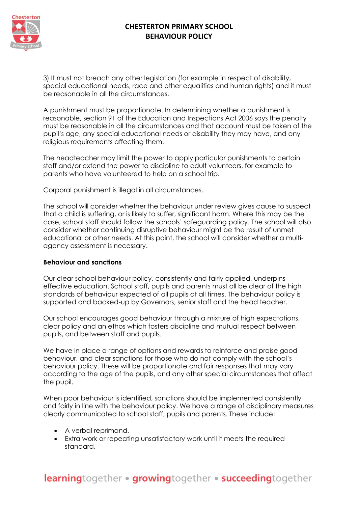

3) It must not breach any other legislation (for example in respect of disability, special educational needs, race and other equalities and human rights) and it must be reasonable in all the circumstances.

A punishment must be proportionate. In determining whether a punishment is reasonable, section 91 of the Education and Inspections Act 2006 says the penalty must be reasonable in all the circumstances and that account must be taken of the pupil's age, any special educational needs or disability they may have, and any religious requirements affecting them.

The headteacher may limit the power to apply particular punishments to certain staff and/or extend the power to discipline to adult volunteers, for example to parents who have volunteered to help on a school trip.

Corporal punishment is illegal in all circumstances.

The school will consider whether the behaviour under review gives cause to suspect that a child is suffering, or is likely to suffer, significant harm. Where this may be the case, school staff should follow the schools' safeguarding policy. The school will also consider whether continuing disruptive behaviour might be the result of unmet educational or other needs. At this point, the school will consider whether a multiagency assessment is necessary.

### **Behaviour and sanctions**

Our clear school behaviour policy, consistently and fairly applied, underpins effective education. School staff, pupils and parents must all be clear of the high standards of behaviour expected of all pupils at all times. The behaviour policy is supported and backed-up by Governors, senior staff and the head teacher.

Our school encourages good behaviour through a mixture of high expectations, clear policy and an ethos which fosters discipline and mutual respect between pupils, and between staff and pupils.

We have in place a range of options and rewards to reinforce and praise good behaviour, and clear sanctions for those who do not comply with the school's behaviour policy. These will be proportionate and fair responses that may vary according to the age of the pupils, and any other special circumstances that affect the pupil.

When poor behaviour is identified, sanctions should be implemented consistently and fairly in line with the behaviour policy. We have a range of disciplinary measures clearly communicated to school staff, pupils and parents. These include:

- A verbal reprimand.
- Extra work or repeating unsatisfactory work until it meets the required standard.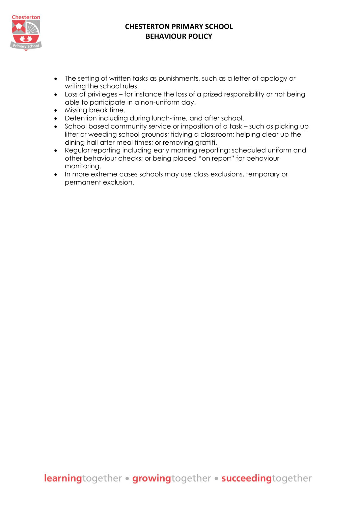

- The setting of written tasks as punishments, such as a letter of apology or writing the school rules.
- Loss of privileges for instance the loss of a prized responsibility or not being able to participate in a non-uniform day.
- Missing break time.
- Detention including during lunch-time, and after school.
- School based community service or imposition of a task such as picking up litter or weeding school grounds; tidying a classroom; helping clear up the dining hall after meal times; or removing graffiti.
- Regular reporting including early morning reporting; scheduled uniform and other behaviour checks; or being placed "on report" for behaviour monitoring.
- In more extreme cases schools may use class exclusions, temporary or permanent exclusion.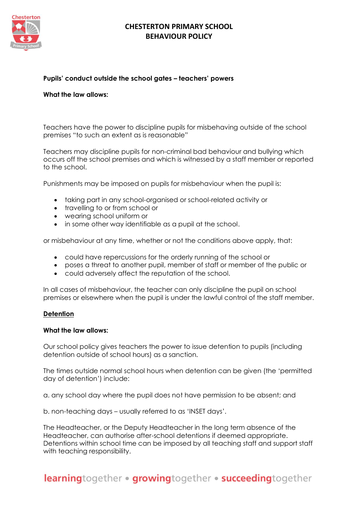

### **Pupils' conduct outside the school gates – teachers' powers**

### **What the law allows:**

Teachers have the power to discipline pupils for misbehaving outside of the school premises "to such an extent as is reasonable"

Teachers may discipline pupils for non-criminal bad behaviour and bullying which occurs off the school premises and which is witnessed by a staff member or reported to the school.

Punishments may be imposed on pupils for misbehaviour when the pupil is:

- taking part in any school-organised or school-related activity or
- travelling to or from school or
- wearing school uniform or
- in some other way identifiable as a pupil at the school.

or misbehaviour at any time, whether or not the conditions above apply, that:

- could have repercussions for the orderly running of the school or
- poses a threat to another pupil, member of staff or member of the public or
- could adversely affect the reputation of the school.

In all cases of misbehaviour, the teacher can only discipline the pupil on school premises or elsewhere when the pupil is under the lawful control of the staff member.

#### **Detention**

#### **What the law allows:**

Our school policy gives teachers the power to issue detention to pupils (including detention outside of school hours) as a sanction.

The times outside normal school hours when detention can be given (the 'permitted day of detention') include:

a. any school day where the pupil does not have permission to be absent; and

b. non-teaching days – usually referred to as 'INSET days'.

The Headteacher, or the Deputy Headteacher in the long term absence of the Headteacher, can authorise after-school detentions if deemed appropriate. Detentions within school time can be imposed by all teaching staff and support staff with teaching responsibility.

learningtogether · growingtogether · succeedingtogether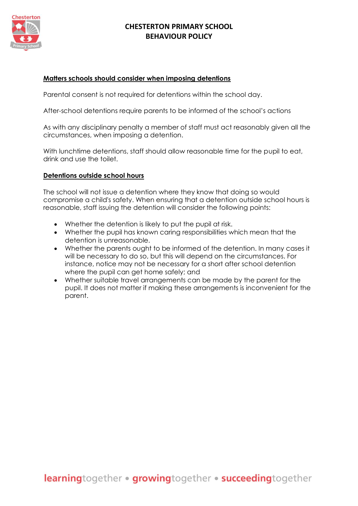

### **Matters schools should consider when imposing detentions**

Parental consent is not required for detentions within the school day.

After-school detentions require parents to be informed of the school's actions

As with any disciplinary penalty a member of staff must act reasonably given all the circumstances, when imposing a detention.

With lunchtime detentions, staff should allow reasonable time for the pupil to eat, drink and use the toilet.

#### **Detentions outside school hours**

The school will not issue a detention where they know that doing so would compromise a child's safety. When ensuring that a detention outside school hours is reasonable, staff issuing the detention will consider the following points:

- Whether the detention is likely to put the pupil at risk.
- Whether the pupil has known caring responsibilities which mean that the detention is unreasonable.
- Whether the parents ought to be informed of the detention. In many cases it will be necessary to do so, but this will depend on the circumstances. For instance, notice may not be necessary for a short after school detention where the pupil can get home safely; and
- Whether suitable travel arrangements can be made by the parent for the pupil. It does not matter if making these arrangements is inconvenient for the parent.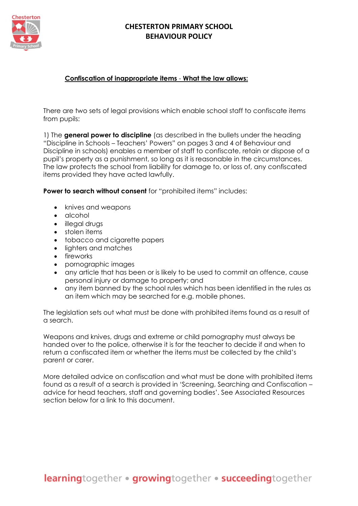

### **Confiscation of inappropriate items** - **What the law allows:**

There are two sets of legal provisions which enable school staff to confiscate items from pupils:

1) The **general power to discipline** (as described in the bullets under the heading "Discipline in Schools – Teachers' Powers" on pages 3 and 4 of Behaviour and Discipline in schools) enables a member of staff to confiscate, retain or dispose of a pupil's property as a punishment, so long as it is reasonable in the circumstances. The law protects the school from liability for damage to, or loss of, any confiscated items provided they have acted lawfully.

**Power to search without consent** for "prohibited items" includes:

- knives and weapons
- alcohol
- illegal drugs
- stolen items
- tobacco and cigarette papers
- lighters and matches
- fireworks
- pornographic images
- any article that has been or is likely to be used to commit an offence, cause personal injury or damage to property; and
- any item banned by the school rules which has been identified in the rules as an item which may be searched for e.g. mobile phones.

The legislation sets out what must be done with prohibited items found as a result of a search.

Weapons and knives, drugs and extreme or child pornography must always be handed over to the police, otherwise it is for the teacher to decide if and when to return a confiscated item or whether the items must be collected by the child's parent or carer.

More detailed advice on confiscation and what must be done with prohibited items found as a result of a search is provided in 'Screening, Searching and Confiscation – advice for head teachers, staff and governing bodies'. See Associated Resources section below for a link to this document.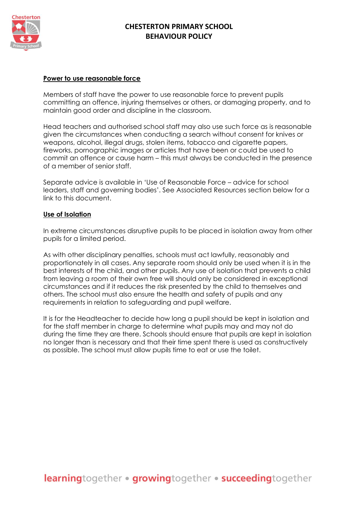

#### **Power to use reasonable force**

Members of staff have the power to use reasonable force to prevent pupils committing an offence, injuring themselves or others, or damaging property, and to maintain good order and discipline in the classroom.

Head teachers and authorised school staff may also use such force as is reasonable given the circumstances when conducting a search without consent for knives or weapons, alcohol, illegal drugs, stolen items, tobacco and cigarette papers, fireworks, pornographic images or articles that have been or could be used to commit an offence or cause harm – this must always be conducted in the presence of a member of senior staff.

Separate advice is available in 'Use of Reasonable Force – advice for school leaders, staff and governing bodies'. See Associated Resources section below for a link to this document.

### **Use of Isolation**

In extreme circumstances disruptive pupils to be placed in isolation away from other pupils for a limited period.

As with other disciplinary penalties, schools must act lawfully, reasonably and proportionately in all cases. Any separate room should only be used when it is in the best interests of the child, and other pupils. Any use of isolation that prevents a child from leaving a room of their own free will should only be considered in exceptional circumstances and if it reduces the risk presented by the child to themselves and others. The school must also ensure the health and safety of pupils and any requirements in relation to safeguarding and pupil welfare.

It is for the Headteacher to decide how long a pupil should be kept in isolation and for the staff member in charge to determine what pupils may and may not do during the time they are there. Schools should ensure that pupils are kept in isolation no longer than is necessary and that their time spent there is used as constructively as possible. The school must allow pupils time to eat or use the toilet.